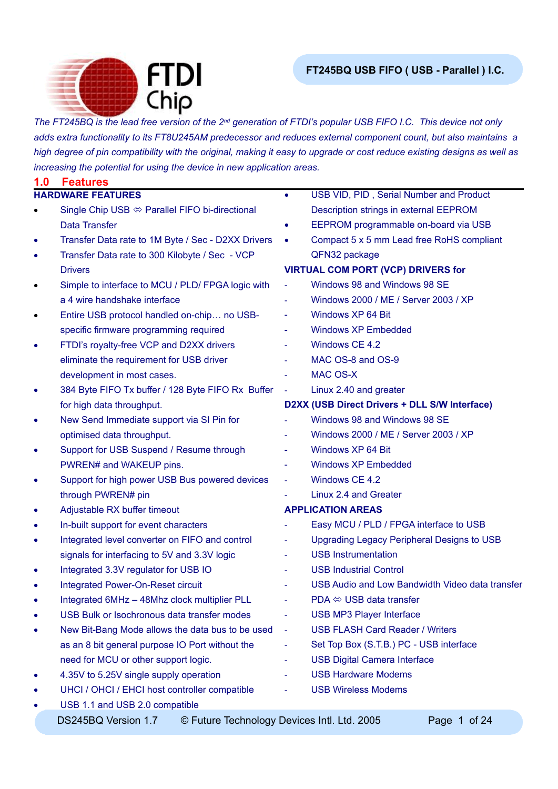

*The FT245BQ is the lead free version of the 2nd generation of FTDI's popular USB FIFO I.C. This device not only adds extra functionality to its FT8U245AM predecessor and reduces external component count, but also maintains a high degree of pin compatibility with the original, making it easy to upgrade or cost reduce existing designs as well as increasing the potential for using the device in new application areas.*

| 1.0       | <b>Features</b>                                                    |                          |                                                   |
|-----------|--------------------------------------------------------------------|--------------------------|---------------------------------------------------|
|           | <b>HARDWARE FEATURES</b>                                           | $\bullet$                | USB VID, PID, Serial Number and Product           |
|           | Single Chip USB $\Leftrightarrow$ Parallel FIFO bi-directional     |                          | Description strings in external EEPROM            |
|           | <b>Data Transfer</b>                                               | ٠                        | EEPROM programmable on-board via USB              |
| ٠         | Transfer Data rate to 1M Byte / Sec - D2XX Drivers                 | $\bullet$                | Compact 5 x 5 mm Lead free RoHS compliant         |
| $\bullet$ | Transfer Data rate to 300 Kilobyte / Sec - VCP                     |                          | QFN32 package                                     |
|           | <b>Drivers</b>                                                     |                          | <b>VIRTUAL COM PORT (VCP) DRIVERS for</b>         |
| $\bullet$ | Simple to interface to MCU / PLD/ FPGA logic with                  |                          | Windows 98 and Windows 98 SE                      |
|           | a 4 wire handshake interface                                       |                          | Windows 2000 / ME / Server 2003 / XP              |
| $\bullet$ | Entire USB protocol handled on-chip no USB-                        |                          | Windows XP 64 Bit                                 |
|           | specific firmware programming required                             | $\overline{\phantom{a}}$ | <b>Windows XP Embedded</b>                        |
| ٠         | FTDI's royalty-free VCP and D2XX drivers                           |                          | Windows CE 4.2                                    |
|           | eliminate the requirement for USB driver                           |                          | MAC OS-8 and OS-9                                 |
|           | development in most cases.                                         | $\blacksquare$           | <b>MAC OS-X</b>                                   |
| $\bullet$ | 384 Byte FIFO Tx buffer / 128 Byte FIFO Rx Buffer                  |                          | Linux 2.40 and greater                            |
|           | for high data throughput.                                          |                          | D2XX (USB Direct Drivers + DLL S/W Interface)     |
| $\bullet$ | New Send Immediate support via SI Pin for                          |                          | Windows 98 and Windows 98 SE                      |
|           | optimised data throughput.                                         |                          | Windows 2000 / ME / Server 2003 / XP              |
| ٠         | Support for USB Suspend / Resume through                           | $\overline{\phantom{0}}$ | Windows XP 64 Bit                                 |
|           | PWREN# and WAKEUP pins.                                            | $\overline{\phantom{a}}$ | <b>Windows XP Embedded</b>                        |
| $\bullet$ | Support for high power USB Bus powered devices                     | ÷                        | Windows CE 4.2                                    |
|           | through PWREN# pin                                                 |                          | Linux 2.4 and Greater                             |
| ٠         | Adjustable RX buffer timeout                                       |                          | <b>APPLICATION AREAS</b>                          |
| $\bullet$ | In-built support for event characters                              |                          | Easy MCU / PLD / FPGA interface to USB            |
| $\bullet$ | Integrated level converter on FIFO and control                     |                          | <b>Upgrading Legacy Peripheral Designs to USB</b> |
|           | signals for interfacing to 5V and 3.3V logic                       | ۰                        | <b>USB Instrumentation</b>                        |
| ٠         | Integrated 3.3V regulator for USB IO                               |                          | <b>USB Industrial Control</b>                     |
| $\bullet$ | <b>Integrated Power-On-Reset circuit</b>                           |                          | USB Audio and Low Bandwidth Video data transfer   |
| $\bullet$ | Integrated 6MHz - 48Mhz clock multiplier PLL                       | $\blacksquare$           | $PDA \Leftrightarrow \text{USB}$ data transfer    |
| ٠         | USB Bulk or Isochronous data transfer modes                        |                          | <b>USB MP3 Player Interface</b>                   |
| ٠         | New Bit-Bang Mode allows the data bus to be used                   | $\blacksquare$           | <b>USB FLASH Card Reader / Writers</b>            |
|           | as an 8 bit general purpose IO Port without the                    | ۰                        | Set Top Box (S.T.B.) PC - USB interface           |
|           | need for MCU or other support logic.                               |                          | <b>USB Digital Camera Interface</b>               |
| ٠         | 4.35V to 5.25V single supply operation                             |                          | <b>USB Hardware Modems</b>                        |
| 0         | UHCI / OHCI / EHCI host controller compatible                      |                          | <b>USB Wireless Modems</b>                        |
| $\bullet$ | USB 1.1 and USB 2.0 compatible                                     |                          |                                                   |
|           | DS245BQ Version 1.7<br>© Future Technology Devices Intl. Ltd. 2005 |                          | Page 1 of 24                                      |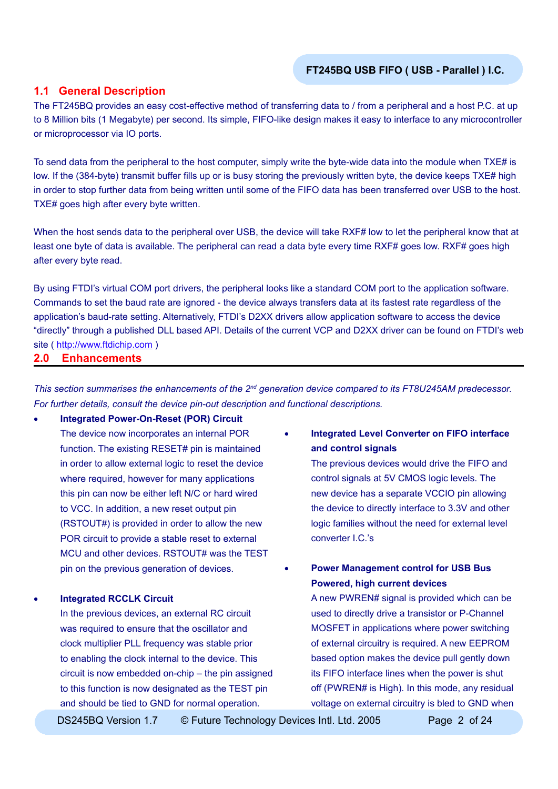#### **1.1 General Description**

The FT245BQ provides an easy cost-effective method of transferring data to / from a peripheral and a host P.C. at up to 8 Million bits (1 Megabyte) per second. Its simple, FIFO-like design makes it easy to interface to any microcontroller or microprocessor via IO ports.

To send data from the peripheral to the host computer, simply write the byte-wide data into the module when TXE# is low. If the (384-byte) transmit buffer fills up or is busy storing the previously written byte, the device keeps TXE# high in order to stop further data from being written until some of the FIFO data has been transferred over USB to the host. TXE# goes high after every byte written.

When the host sends data to the peripheral over USB, the device will take RXF# low to let the peripheral know that at least one byte of data is available. The peripheral can read a data byte every time RXF# goes low. RXF# goes high after every byte read.

By using FTDI's virtual COM port drivers, the peripheral looks like a standard COM port to the application software. Commands to set the baud rate are ignored - the device always transfers data at its fastest rate regardless of the application's baud-rate setting. Alternatively, FTDI's D2XX drivers allow application software to access the device "directly" through a published DLL based API. Details of the current VCP and D2XX driver can be found on FTDI's web site ( [http://www.ftdichip.com](http://www.ftdichip.com/FTDisti.htm) )

#### **2.0 Enhancements**

*This section summarises the enhancements of the 2nd generation device compared to its FT8U245AM predecessor. For further details, consult the device pin-out description and functional descriptions.*

• **Integrated Power-On-Reset (POR) Circuit** The device now incorporates an internal POR function. The existing RESET# pin is maintained in order to allow external logic to reset the device where required, however for many applications this pin can now be either left N/C or hard wired to VCC. In addition, a new reset output pin (RSTOUT#) is provided in order to allow the new POR circuit to provide a stable reset to external MCU and other devices. RSTOUT# was the TEST pin on the previous generation of devices.

#### • **Integrated RCCLK Circuit**

In the previous devices, an external RC circuit was required to ensure that the oscillator and clock multiplier PLL frequency was stable prior to enabling the clock internal to the device. This circuit is now embedded on-chip – the pin assigned to this function is now designated as the TEST pin and should be tied to GND for normal operation.

• **Integrated Level Converter on FIFO interface and control signals**

> The previous devices would drive the FIFO and control signals at 5V CMOS logic levels. The new device has a separate VCCIO pin allowing the device to directly interface to 3.3V and other logic families without the need for external level converter I.C.'s

• **Power Management control for USB Bus Powered, high current devices**

> A new PWREN# signal is provided which can be used to directly drive a transistor or P-Channel MOSFET in applications where power switching of external circuitry is required. A new EEPROM based option makes the device pull gently down its FIFO interface lines when the power is shut off (PWREN# is High). In this mode, any residual voltage on external circuitry is bled to GND when

DS245BQ Version 1.7 © Future Technology Devices Intl. Ltd. 2005 Page 2 of 24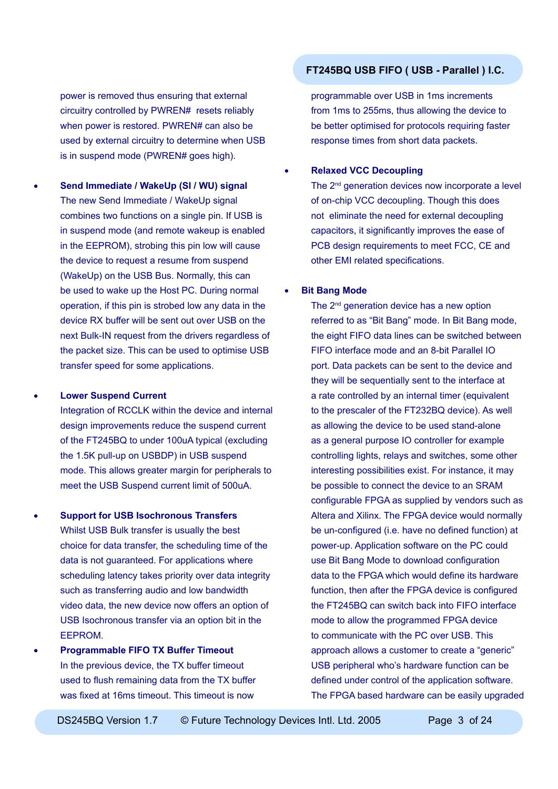power is removed thus ensuring that external circuitry controlled by PWREN# resets reliably when power is restored. PWREN# can also be used by external circuitry to determine when USB is in suspend mode (PWREN# goes high).

• **Send Immediate / WakeUp (SI / WU) signal** The new Send Immediate / WakeUp signal combines two functions on a single pin. If USB is in suspend mode (and remote wakeup is enabled in the EEPROM), strobing this pin low will cause the device to request a resume from suspend (WakeUp) on the USB Bus. Normally, this can be used to wake up the Host PC. During normal operation, if this pin is strobed low any data in the device RX buffer will be sent out over USB on the next Bulk-IN request from the drivers regardless of the packet size. This can be used to optimise USB transfer speed for some applications.

#### • **Lower Suspend Current**

Integration of RCCLK within the device and internal design improvements reduce the suspend current of the FT245BQ to under 100uA typical (excluding the 1.5K pull-up on USBDP) in USB suspend mode. This allows greater margin for peripherals to meet the USB Suspend current limit of 500uA.

- **Support for USB Isochronous Transfers** Whilst USB Bulk transfer is usually the best choice for data transfer, the scheduling time of the data is not quaranteed. For applications where scheduling latency takes priority over data integrity such as transferring audio and low bandwidth video data, the new device now offers an option of USB Isochronous transfer via an option bit in the EEPROM.
- **Programmable FIFO TX Buffer Timeout** In the previous device, the TX buffer timeout used to flush remaining data from the TX buffer was fixed at 16ms timeout. This timeout is now

# **FT245BQ USB FIFO ( USB - Parallel ) I.C.**

programmable over USB in 1ms increments from 1ms to 255ms, thus allowing the device to be better optimised for protocols requiring faster response times from short data packets.

## • **Relaxed VCC Decoupling**

The 2<sup>nd</sup> generation devices now incorporate a level of on-chip VCC decoupling. Though this does not eliminate the need for external decoupling capacitors, it significantly improves the ease of PCB design requirements to meet FCC, CE and other EMI related specifications.

#### • **Bit Bang Mode**

The 2<sup>nd</sup> generation device has a new option referred to as "Bit Bang" mode. In Bit Bang mode, the eight FIFO data lines can be switched between FIFO interface mode and an 8-bit Parallel IO port. Data packets can be sent to the device and they will be sequentially sent to the interface at a rate controlled by an internal timer (equivalent to the prescaler of the FT232BQ device). As well as allowing the device to be used stand-alone as a general purpose IO controller for example controlling lights, relays and switches, some other interesting possibilities exist. For instance, it may be possible to connect the device to an SRAM configurable FPGA as supplied by vendors such as Altera and Xilinx. The FPGA device would normally be un-configured (i.e. have no defined function) at power-up. Application software on the PC could use Bit Bang Mode to download configuration data to the FPGA which would define its hardware function, then after the FPGA device is configured the FT245BQ can switch back into FIFO interface mode to allow the programmed FPGA device to communicate with the PC over USB. This approach allows a customer to create a "generic" USB peripheral who's hardware function can be defined under control of the application software. The FPGA based hardware can be easily upgraded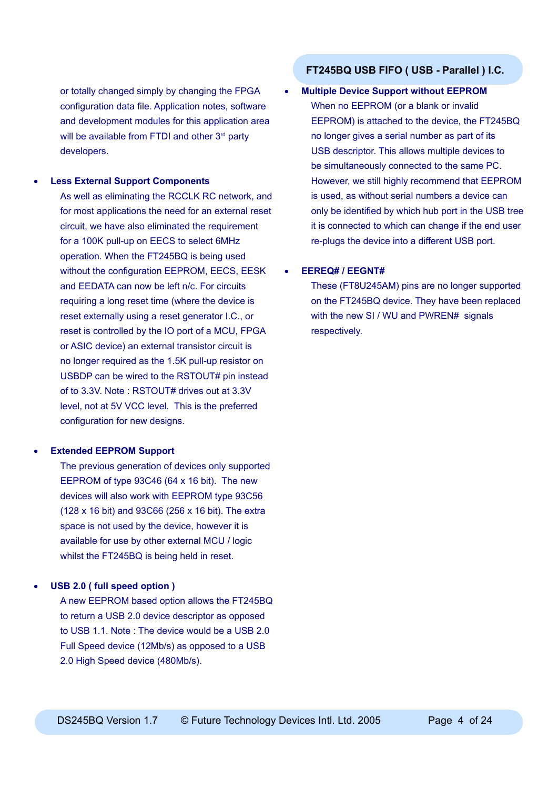or totally changed simply by changing the FPGA configuration data file. Application notes, software and development modules for this application area will be available from FTDI and other  $3<sup>rd</sup>$  party developers.

#### • **Less External Support Components**

As well as eliminating the RCCLK RC network, and for most applications the need for an external reset circuit, we have also eliminated the requirement for a 100K pull-up on EECS to select 6MHz operation. When the FT245BQ is being used without the configuration EEPROM, EECS, EESK and EEDATA can now be left n/c. For circuits requiring a long reset time (where the device is reset externally using a reset generator I.C., or reset is controlled by the IO port of a MCU, FPGA or ASIC device) an external transistor circuit is no longer required as the 1.5K pull-up resistor on USBDP can be wired to the RSTOUT# pin instead of to 3.3V. Note : RSTOUT# drives out at 3.3V level, not at 5V VCC level. This is the preferred configuration for new designs.

#### • **Extended EEPROM Support**

The previous generation of devices only supported EEPROM of type 93C46 (64 x 16 bit). The new devices will also work with EEPROM type 93C56 (128 x 16 bit) and 93C66 (256 x 16 bit). The extra space is not used by the device, however it is available for use by other external MCU / logic whilst the FT245BQ is being held in reset.

#### • **USB 2.0 ( full speed option )**

A new EEPROM based option allows the FT245BQ to return a USB 2.0 device descriptor as opposed to USB 1.1. Note : The device would be a USB 2.0 Full Speed device (12Mb/s) as opposed to a USB 2.0 High Speed device (480Mb/s).

#### **FT245BQ USB FIFO ( USB - Parallel ) I.C.**

#### • **Multiple Device Support without EEPROM**

When no EEPROM (or a blank or invalid EEPROM) is attached to the device, the FT245BQ no longer gives a serial number as part of its USB descriptor. This allows multiple devices to be simultaneously connected to the same PC. However, we still highly recommend that EEPROM is used, as without serial numbers a device can only be identified by which hub port in the USB tree it is connected to which can change if the end user re-plugs the device into a different USB port.

#### • **EEREQ# / EEGNT#**

These (FT8U245AM) pins are no longer supported on the FT245BQ device. They have been replaced with the new SI / WU and PWREN# signals respectively.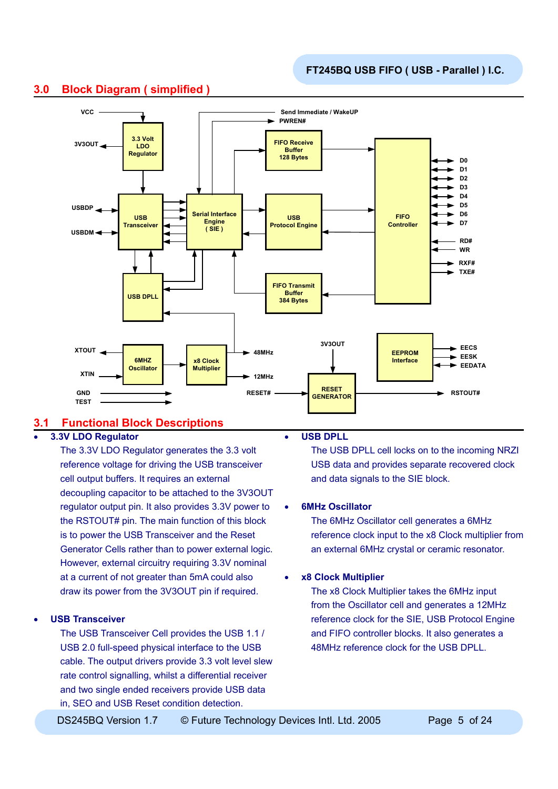

# **3.0 Block Diagram ( simplified )**

# **3.1 Functional Block Descriptions**

## • **3.3V LDO Regulator**

The 3.3V LDO Regulator generates the 3.3 volt reference voltage for driving the USB transceiver cell output buffers. It requires an external decoupling capacitor to be attached to the 3V3OUT regulator output pin. It also provides 3.3V power to the RSTOUT# pin. The main function of this block is to power the USB Transceiver and the Reset Generator Cells rather than to power external logic. However, external circuitry requiring 3.3V nominal at a current of not greater than 5mA could also draw its power from the 3V3OUT pin if required.

#### • **USB Transceiver**

The USB Transceiver Cell provides the USB 1.1 / USB 2.0 full-speed physical interface to the USB cable. The output drivers provide 3.3 volt level slew rate control signalling, whilst a differential receiver and two single ended receivers provide USB data in, SEO and USB Reset condition detection.

#### • **USB DPLL**

The USB DPLL cell locks on to the incoming NRZI USB data and provides separate recovered clock and data signals to the SIE block.

#### • **6MHz Oscillator**

The 6MHz Oscillator cell generates a 6MHz reference clock input to the x8 Clock multiplier from an external 6MHz crystal or ceramic resonator.

#### • **x8 Clock Multiplier**

The x8 Clock Multiplier takes the 6MHz input from the Oscillator cell and generates a 12MHz reference clock for the SIE, USB Protocol Engine and FIFO controller blocks. It also generates a 48MHz reference clock for the USB DPLL.

DS245BQ Version 1.7  $\circ$  Future Technology Devices Intl. Ltd. 2005 Page 5 of 24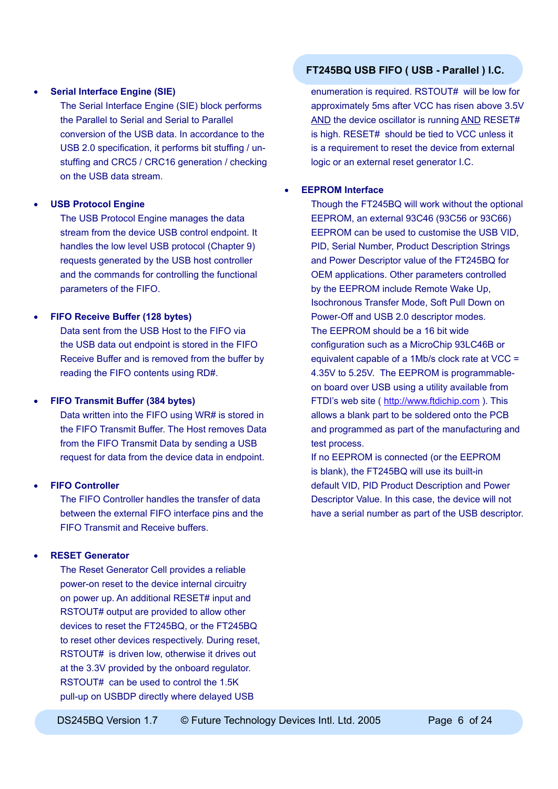#### • **Serial Interface Engine (SIE)**

The Serial Interface Engine (SIE) block performs the Parallel to Serial and Serial to Parallel conversion of the USB data. In accordance to the USB 2.0 specification, it performs bit stuffing / unstuffing and CRC5 / CRC16 generation / checking on the USB data stream.

#### • **USB Protocol Engine**

The USB Protocol Engine manages the data stream from the device USB control endpoint. It handles the low level USB protocol (Chapter 9) requests generated by the USB host controller and the commands for controlling the functional parameters of the FIFO.

#### • **FIFO Receive Buffer (128 bytes)**

Data sent from the USB Host to the FIFO via the USB data out endpoint is stored in the FIFO Receive Buffer and is removed from the buffer by reading the FIFO contents using RD#.

#### • **FIFO Transmit Buffer (384 bytes)**

Data written into the FIFO using WR# is stored in the FIFO Transmit Buffer. The Host removes Data from the FIFO Transmit Data by sending a USB request for data from the device data in endpoint.

#### • **FIFO Controller**

The FIFO Controller handles the transfer of data between the external FIFO interface pins and the FIFO Transmit and Receive buffers.

#### • **RESET Generator**

The Reset Generator Cell provides a reliable power-on reset to the device internal circuitry on power up. An additional RESET# input and RSTOUT# output are provided to allow other devices to reset the FT245BQ, or the FT245BQ to reset other devices respectively. During reset, RSTOUT# is driven low, otherwise it drives out at the 3.3V provided by the onboard regulator. RSTOUT# can be used to control the 1.5K pull-up on USBDP directly where delayed USB

## **FT245BQ USB FIFO ( USB - Parallel ) I.C.**

enumeration is required. RSTOUT# will be low for approximately 5ms after VCC has risen above 3.5V AND the device oscillator is running AND RESET# is high. RESET# should be tied to VCC unless it is a requirement to reset the device from external logic or an external reset generator I.C.

#### • **EEPROM Interface**

Though the FT245BQ will work without the optional EEPROM, an external 93C46 (93C56 or 93C66) EEPROM can be used to customise the USB VID, PID, Serial Number, Product Description Strings and Power Descriptor value of the FT245BQ for OEM applications. Other parameters controlled by the EEPROM include Remote Wake Up, Isochronous Transfer Mode, Soft Pull Down on Power-Off and USB 2.0 descriptor modes. The EEPROM should be a 16 bit wide configuration such as a MicroChip 93LC46B or equivalent capable of a 1Mb/s clock rate at VCC = 4.35V to 5.25V. The EEPROM is programmableon board over USB using a utility available from FTDI's web site ( [http://www.ftdichip.com](http://www.ftdichip.com/FTDisti.htm) ). This allows a blank part to be soldered onto the PCB and programmed as part of the manufacturing and test process.

If no EEPROM is connected (or the EEPROM is blank), the FT245BQ will use its built-in default VID, PID Product Description and Power Descriptor Value. In this case, the device will not have a serial number as part of the USB descriptor.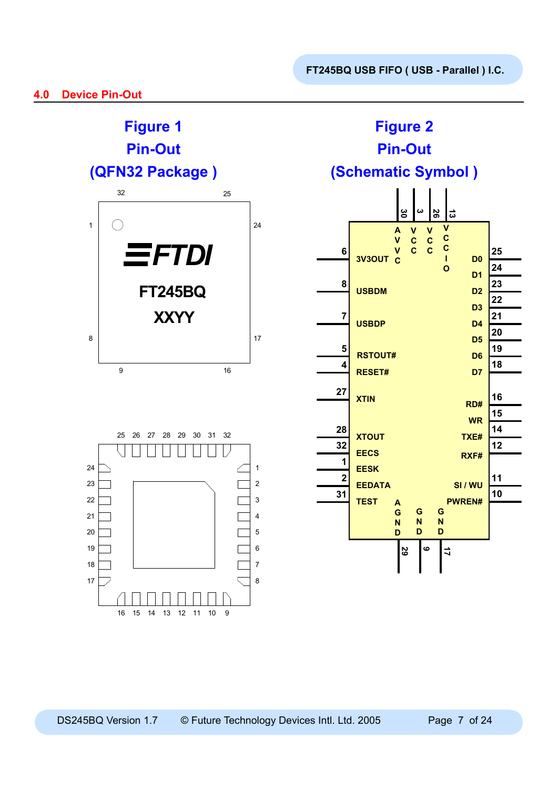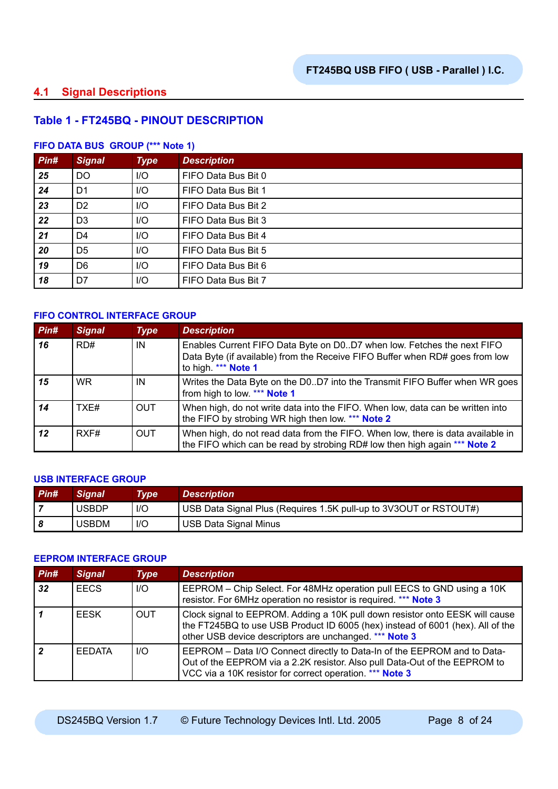# **4.1 Signal Descriptions**

## **Table 1 - FT245BQ - PINOUT DESCRIPTION**

#### **FIFO DATA BUS GROUP (\*\*\* Note 1)**

| Pin# | <b>Signal</b>  | <b>Type</b> | <b>Description</b>  |
|------|----------------|-------------|---------------------|
| 25   | <b>DO</b>      | I/O         | FIFO Data Bus Bit 0 |
| 24   | D <sub>1</sub> | I/O         | FIFO Data Bus Bit 1 |
| 23   | D <sub>2</sub> | I/O         | FIFO Data Bus Bit 2 |
| 22   | D <sub>3</sub> | $I/O$       | FIFO Data Bus Bit 3 |
| 21   | D4             | I/O         | FIFO Data Bus Bit 4 |
| 20   | D <sub>5</sub> | I/O         | FIFO Data Bus Bit 5 |
| 19   | D <sub>6</sub> | $I/O$       | FIFO Data Bus Bit 6 |
| 18   | D7             | $I/O$       | FIFO Data Bus Bit 7 |

#### **FIFO CONTROL INTERFACE GROUP**

| Pin# | <b>Signal</b> | <b>Type</b> | <b>Description</b>                                                                                                                                                            |
|------|---------------|-------------|-------------------------------------------------------------------------------------------------------------------------------------------------------------------------------|
| 16   | RD#           | IN          | Enables Current FIFO Data Byte on D0D7 when low. Fetches the next FIFO<br>Data Byte (if available) from the Receive FIFO Buffer when RD# goes from low<br>to high. *** Note 1 |
| 15   | WR.           | IN          | Writes the Data Byte on the D0D7 into the Transmit FIFO Buffer when WR goes<br>from high to low. *** Note 1                                                                   |
| 14   | TXF#          | <b>OUT</b>  | When high, do not write data into the FIFO. When low, data can be written into<br>the FIFO by strobing WR high then low. *** Note 2                                           |
| 12   | RXF#          | <b>OUT</b>  | When high, do not read data from the FIFO. When low, there is data available in<br>the FIFO which can be read by strobing RD# low then high again *** Note 2                  |

#### **USB INTERFACE GROUP**

| $P$ in# | <b>Signal</b> | Type | <b>Description</b>                                                |
|---------|---------------|------|-------------------------------------------------------------------|
|         | <b>USBDP</b>  | $II$ | USB Data Signal Plus (Requires 1.5K pull-up to 3V3OUT or RSTOUT#) |
|         | <b>USBDM</b>  | $II$ | USB Data Signal Minus                                             |

#### **EEPROM INTERFACE GROUP**

| Pin# | <b>Signal</b> | <b>Type</b> | <b>Description</b>                                                                                                                                                                                                       |
|------|---------------|-------------|--------------------------------------------------------------------------------------------------------------------------------------------------------------------------------------------------------------------------|
| 32   | <b>EECS</b>   | $II$        | EEPROM – Chip Select. For 48MHz operation pull EECS to GND using a 10K<br>resistor. For 6MHz operation no resistor is required. *** Note 3                                                                               |
|      | <b>FESK</b>   | <b>OUT</b>  | Clock signal to EEPROM. Adding a 10K pull down resistor onto EESK will cause<br>the FT245BQ to use USB Product ID 6005 (hex) instead of 6001 (hex). All of the<br>other USB device descriptors are unchanged. *** Note 3 |
|      | <b>FEDATA</b> | $II$        | EEPROM - Data I/O Connect directly to Data-In of the EEPROM and to Data-<br>Out of the EEPROM via a 2.2K resistor. Also pull Data-Out of the EEPROM to<br>VCC via a 10K resistor for correct operation. *** Note 3       |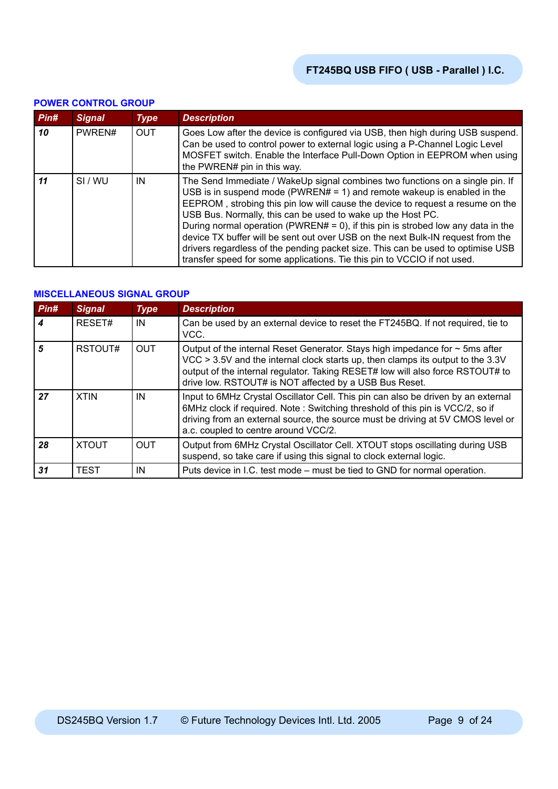|      | I UMEN UUNTINUL UNUUI |             |                                                                                                                                                                                                                                                                                                                                                                                                                                                                                                                                                                                                                                                 |  |  |  |  |
|------|-----------------------|-------------|-------------------------------------------------------------------------------------------------------------------------------------------------------------------------------------------------------------------------------------------------------------------------------------------------------------------------------------------------------------------------------------------------------------------------------------------------------------------------------------------------------------------------------------------------------------------------------------------------------------------------------------------------|--|--|--|--|
| Pin# | <b>Signal</b>         | <b>Type</b> | <b>Description</b>                                                                                                                                                                                                                                                                                                                                                                                                                                                                                                                                                                                                                              |  |  |  |  |
| 10   | PWREN#                | <b>OUT</b>  | Goes Low after the device is configured via USB, then high during USB suspend.<br>Can be used to control power to external logic using a P-Channel Logic Level<br>MOSFET switch. Enable the Interface Pull-Down Option in EEPROM when using<br>the PWREN# pin in this way.                                                                                                                                                                                                                                                                                                                                                                      |  |  |  |  |
| 11   | SI/WU                 | IN          | The Send Immediate / WakeUp signal combines two functions on a single pin. If<br>USB is in suspend mode (PWREN# = 1) and remote wakeup is enabled in the<br>EEPROM, strobing this pin low will cause the device to request a resume on the<br>USB Bus. Normally, this can be used to wake up the Host PC.<br>During normal operation (PWREN# = 0), if this pin is strobed low any data in the<br>device TX buffer will be sent out over USB on the next Bulk-IN request from the<br>drivers regardless of the pending packet size. This can be used to optimise USB<br>transfer speed for some applications. Tie this pin to VCCIO if not used. |  |  |  |  |

#### **POWER CONTROL GROUP**

#### **MISCELLANEOUS SIGNAL GROUP**

| Pin# | <b>Signal</b> | <b>Type</b> | <b>Description</b>                                                                                                                                                                                                                                                                                               |
|------|---------------|-------------|------------------------------------------------------------------------------------------------------------------------------------------------------------------------------------------------------------------------------------------------------------------------------------------------------------------|
|      | RESET#        | IN          | Can be used by an external device to reset the FT245BQ. If not required, tie to<br>VCC.                                                                                                                                                                                                                          |
| 5    | RSTOUT#       | <b>OUT</b>  | Output of the internal Reset Generator. Stays high impedance for $\sim$ 5ms after<br>VCC > 3.5V and the internal clock starts up, then clamps its output to the 3.3V<br>output of the internal regulator. Taking RESET# low will also force RSTOUT# to<br>drive low. RSTOUT# is NOT affected by a USB Bus Reset. |
| 27   | <b>XTIN</b>   | IN          | Input to 6MHz Crystal Oscillator Cell. This pin can also be driven by an external<br>6MHz clock if required. Note: Switching threshold of this pin is VCC/2, so if<br>driving from an external source, the source must be driving at 5V CMOS level or<br>a.c. coupled to centre around VCC/2.                    |
| 28   | <b>XTOUT</b>  | <b>OUT</b>  | Output from 6MHz Crystal Oscillator Cell. XTOUT stops oscillating during USB<br>suspend, so take care if using this signal to clock external logic.                                                                                                                                                              |
| 31   | <b>TEST</b>   | IN          | Puts device in I.C. test mode – must be tied to GND for normal operation.                                                                                                                                                                                                                                        |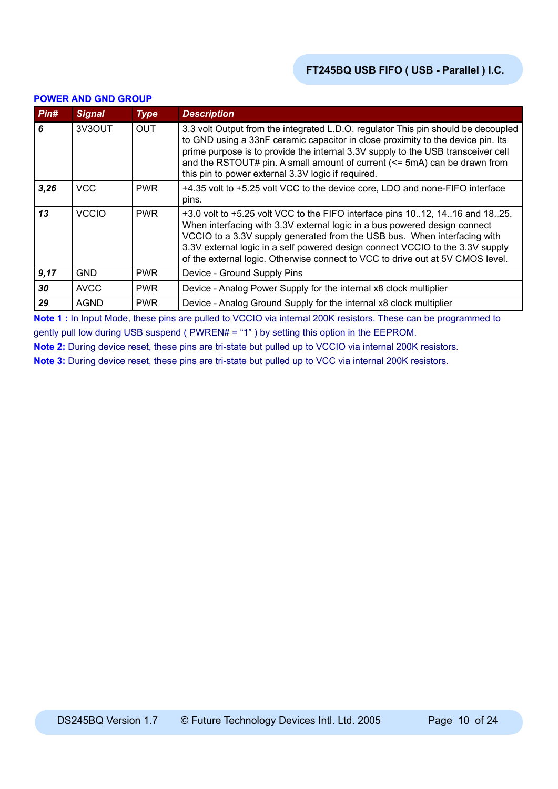| Pin# | <b>Signal</b> | <b>Type</b> | <b>Description</b>                                                                                                                                                                                                                                                                                                                                                                                      |
|------|---------------|-------------|---------------------------------------------------------------------------------------------------------------------------------------------------------------------------------------------------------------------------------------------------------------------------------------------------------------------------------------------------------------------------------------------------------|
| 6    | 3V3OUT        | <b>OUT</b>  | 3.3 volt Output from the integrated L.D.O. regulator This pin should be decoupled<br>to GND using a 33nF ceramic capacitor in close proximity to the device pin. Its<br>prime purpose is to provide the internal 3.3V supply to the USB transceiver cell<br>and the RSTOUT# pin. A small amount of current (<= 5mA) can be drawn from<br>this pin to power external 3.3V logic if required.             |
| 3,26 | <b>VCC</b>    | <b>PWR</b>  | +4.35 volt to +5.25 volt VCC to the device core, LDO and none-FIFO interface<br>pins.                                                                                                                                                                                                                                                                                                                   |
| 13   | <b>VCCIO</b>  | <b>PWR</b>  | +3.0 volt to +5.25 volt VCC to the FIFO interface pins 1012, 1416 and 1825.<br>When interfacing with 3.3V external logic in a bus powered design connect<br>VCCIO to a 3.3V supply generated from the USB bus. When interfacing with<br>3.3V external logic in a self powered design connect VCCIO to the 3.3V supply<br>of the external logic. Otherwise connect to VCC to drive out at 5V CMOS level. |
| 9,17 | GND           | <b>PWR</b>  | Device - Ground Supply Pins                                                                                                                                                                                                                                                                                                                                                                             |
| 30   | <b>AVCC</b>   | <b>PWR</b>  | Device - Analog Power Supply for the internal x8 clock multiplier                                                                                                                                                                                                                                                                                                                                       |
| 29   | <b>AGND</b>   | <b>PWR</b>  | Device - Analog Ground Supply for the internal x8 clock multiplier                                                                                                                                                                                                                                                                                                                                      |

#### **POWER AND GND GROUP**

**Note 1 :** In Input Mode, these pins are pulled to VCCIO via internal 200K resistors. These can be programmed to gently pull low during USB suspend ( PWREN# = "1" ) by setting this option in the EEPROM.

**Note 2:** During device reset, these pins are tri-state but pulled up to VCCIO via internal 200K resistors.

**Note 3:** During device reset, these pins are tri-state but pulled up to VCC via internal 200K resistors.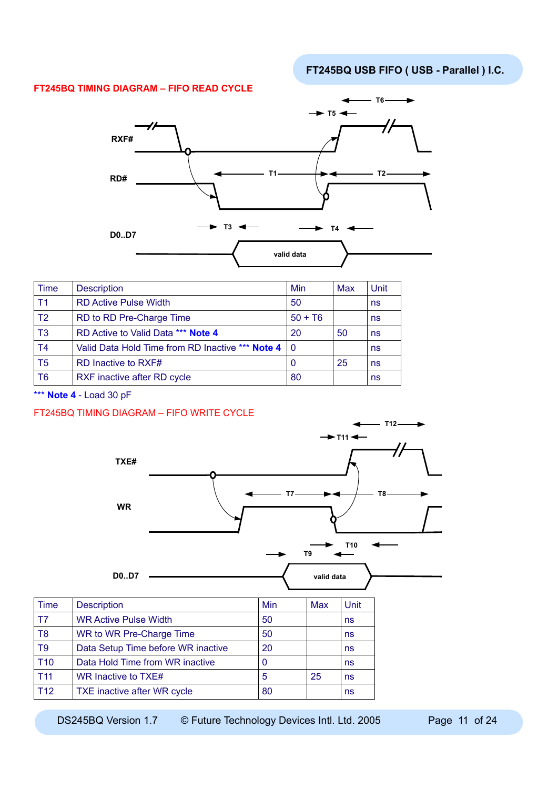#### **FT245BQ TIMING DIAGRAM – FIFO READ CYCLE**



| <b>Time</b>    | <b>Description</b>                                   | Min       | Max | Unit |
|----------------|------------------------------------------------------|-----------|-----|------|
| T <sub>1</sub> | <b>RD Active Pulse Width</b>                         | 50        |     | ns   |
| T <sub>2</sub> | RD to RD Pre-Charge Time                             | $50 + T6$ |     | ns   |
| T <sub>3</sub> | RD Active to Valid Data *** Note 4                   | 20        | 50  | ns   |
| T <sub>4</sub> | Valid Data Hold Time from RD Inactive *** Note 4   0 |           |     | ns   |
| T <sub>5</sub> | RD Inactive to RXF#                                  | 0         | 25  | ns   |
| T <sub>6</sub> | RXF inactive after RD cycle                          | 80        |     | ns   |

\*\*\* **Note 4** - Load 30 pF

#### FT245BQ TIMING DIAGRAM – FIFO WRITE CYCLE



DS245BQ Version 1.7 © Future Technology Devices Intl. Ltd. 2005 Page 11 of 24

T12 TXE inactive after WR cycle 80 and 80 ns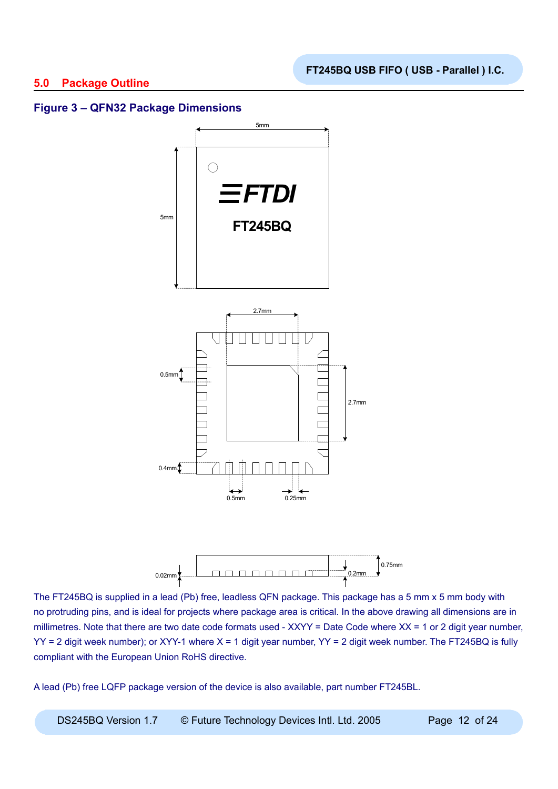## **5.0 Package Outline**



## **Figure 3 – QFN32 Package Dimensions**



The FT245BQ is supplied in a lead (Pb) free, leadless QFN package. This package has a 5 mm x 5 mm body with no protruding pins, and is ideal for projects where package area is critical. In the above drawing all dimensions are in millimetres. Note that there are two date code formats used - XXYY = Date Code where XX = 1 or 2 digit year number,  $YY = 2$  digit week number); or XYY-1 where  $X = 1$  digit year number, YY = 2 digit week number. The FT245BQ is fully compliant with the European Union RoHS directive.

A lead (Pb) free LQFP package version of the device is also available, part number FT245BL.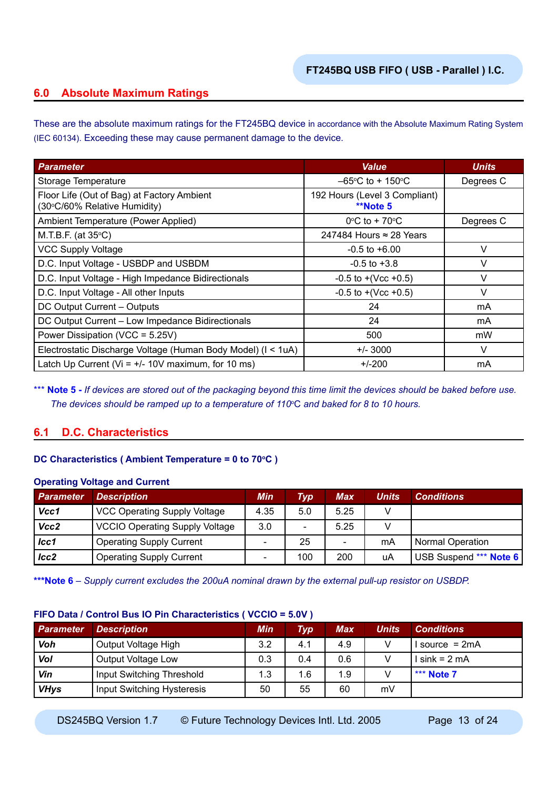# **6.0 Absolute Maximum Ratings**

These are the absolute maximum ratings for the FT245BQ device in accordance with the Absolute Maximum Rating System (IEC 60134). Exceeding these may cause permanent damage to the device.

| <b>Parameter</b>                                                           | <b>Value</b>                                     | <b>Units</b> |
|----------------------------------------------------------------------------|--------------------------------------------------|--------------|
| Storage Temperature                                                        | $-65^{\circ}$ C to + 150 $^{\circ}$ C            | Degrees C    |
| Floor Life (Out of Bag) at Factory Ambient<br>(30°C/60% Relative Humidity) | 192 Hours (Level 3 Compliant)<br><b>**Note 5</b> |              |
| Ambient Temperature (Power Applied)                                        | $0^{\circ}$ C to + 70 $^{\circ}$ C               | Degrees C    |
| M.T.B.F. (at $35^{\circ}$ C)                                               | 247484 Hours $\approx$ 28 Years                  |              |
| <b>VCC Supply Voltage</b>                                                  | $-0.5$ to $+6.00$                                | V            |
| D.C. Input Voltage - USBDP and USBDM                                       | $-0.5$ to $+3.8$                                 | V            |
| D.C. Input Voltage - High Impedance Bidirectionals                         | $-0.5$ to $+(Vec +0.5)$                          | V            |
| D.C. Input Voltage - All other Inputs                                      | $-0.5$ to $+(Vec +0.5)$                          | V            |
| DC Output Current - Outputs                                                | 24                                               | mA           |
| DC Output Current - Low Impedance Bidirectionals                           | 24                                               | mA           |
| Power Dissipation (VCC = 5.25V)                                            | 500                                              | mW           |
| Electrostatic Discharge Voltage (Human Body Model) (I < 1uA)               | $+/- 3000$                                       | $\vee$       |
| Latch Up Current ( $Vi = +/- 10V$ maximum, for 10 ms)                      | $+/-200$                                         | mA           |

\*\*\* **Note 5** - If devices are stored out of the packaging beyond this time limit the devices should be baked before use. *The devices should be ramped up to a temperature of 110*<sup>o</sup> C *and baked for 8 to 10 hours.*

# **6.1 D.C. Characteristics**

#### **DC Characteristics (Ambient Temperature = 0 to 70°C)**

#### **Operating Voltage and Current**

| <b>Parameter</b> | <b>Description</b>                    | Min                      | Typ                      | <b>Max</b> | Units | <b>Conditions</b>       |
|------------------|---------------------------------------|--------------------------|--------------------------|------------|-------|-------------------------|
| Vcc1             | <b>VCC Operating Supply Voltage</b>   | 4.35                     | 5.0                      | 5.25       |       |                         |
| Vcc2             | <b>VCCIO Operating Supply Voltage</b> | 3.0                      | $\overline{\phantom{0}}$ | 5.25       |       |                         |
| $_{lcc1}$        | <b>Operating Supply Current</b>       | $\overline{\phantom{0}}$ | 25                       | -          | mA    | <b>Normal Operation</b> |
| lcc2             | <b>Operating Supply Current</b>       | $\overline{\phantom{0}}$ | 100                      | 200        | uA    | USB Suspend *** Note 6  |

**\*\*\*Note 6** *– Supply current excludes the 200uA nominal drawn by the external pull-up resistor on USBDP.*

#### **FIFO Data / Control Bus IO Pin Characteristics ( VCCIO = 5.0V )**

| Parameter   | <b>Description</b>         | <b>Min</b> | Тур | Max | <b>Units</b> | <b>Conditions</b> |
|-------------|----------------------------|------------|-----|-----|--------------|-------------------|
| Voh         | Output Voltage High        | 3.2        | 4.1 | 4.9 |              | source = $2mA$    |
| Vol         | Output Voltage Low         | 0.3        | 0.4 | 0.6 |              | $sink = 2mA$      |
| Vin         | Input Switching Threshold  | 1.3        | 1.6 | 1.9 |              | *** Note 7        |
| <b>VHys</b> | Input Switching Hysteresis | 50         | 55  | 60  | mV           |                   |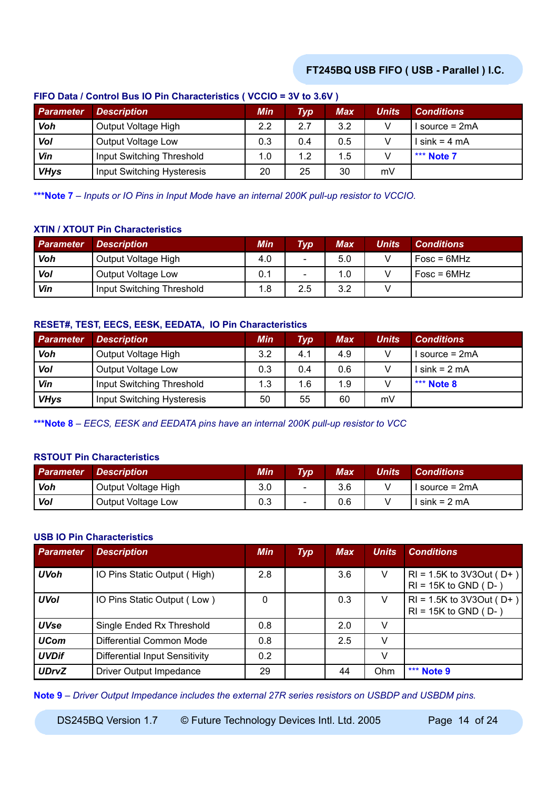| $\frac{1}{10}$ but $\frac{1}{10}$ but the business of the contract of the contract of $\frac{1}{10}$ |                            |               |     |     |       |                   |  |
|------------------------------------------------------------------------------------------------------|----------------------------|---------------|-----|-----|-------|-------------------|--|
| Parameter                                                                                            | <b>Description</b>         | Min           | Typ | Max | Units | <b>Conditions</b> |  |
| Voh                                                                                                  | Output Voltage High        | $2.2^{\circ}$ | 2.7 | 3.2 |       | source = $2mA$    |  |
| Vol                                                                                                  | Output Voltage Low         | 0.3           | 0.4 | 0.5 |       | $sin k = 4 mA$    |  |
| Vin                                                                                                  | Input Switching Threshold  | 1.0           | 1.2 | 1.5 |       | *** Note 7        |  |
| <b>VHys</b>                                                                                          | Input Switching Hysteresis | 20            | 25  | 30  | mV    |                   |  |

#### **FIFO Data / Control Bus IO Pin Characteristics ( VCCIO = 3V to 3.6V )**

**\*\*\*Note 7** *– Inputs or IO Pins in Input Mode have an internal 200K pull-up resistor to VCCIO.*

#### **XTIN / XTOUT Pin Characteristics**

| <b>Parameter</b> | <b>Description</b>        | Min | <b>Typ</b>               | Max | Units | <b>Conditions</b> |
|------------------|---------------------------|-----|--------------------------|-----|-------|-------------------|
| Voh              | Output Voltage High       | 4.0 | -                        | 5.0 |       | $Fosc = 6MHz$     |
| Vol              | Output Voltage Low        | 0.1 | $\overline{\phantom{a}}$ | 1.0 |       | $Fosc = 6MHz$     |
| Vin              | Input Switching Threshold | 1.8 | 2.5                      | 3.2 |       |                   |

#### **RESET#, TEST, EECS, EESK, EEDATA, IO Pin Characteristics**

| <b>Parameter</b> | <b>Description</b>         | <b>Min</b> | $\bm{T}\bm{y}\bm{p}^\dagger$ | <b>Max</b> | <b>Units</b> | <b>Conditions</b> |
|------------------|----------------------------|------------|------------------------------|------------|--------------|-------------------|
| Voh              | Output Voltage High        | 3.2        | 4.1                          | 4.9        |              | I source = 2mA    |
| Vol              | Output Voltage Low         | 0.3        | 0.4                          | 0.6        |              | $lsink = 2 mA$    |
| Vin              | Input Switching Threshold  | 1.3        | 1.6                          | 1.9        |              | *** Note $8$      |
| <b>VHys</b>      | Input Switching Hysteresis | 50         | 55                           | 60         | mV           |                   |

**\*\*\*Note 8** *– EECS, EESK and EEDATA pins have an internal 200K pull-up resistor to VCC*

## **RSTOUT Pin Characteristics**

| Parameter | <b>Description</b>  | Min | <b>Typ</b>               | Max | Units | <b>Conditions</b> |
|-----------|---------------------|-----|--------------------------|-----|-------|-------------------|
| Voh       | Output Voltage High | 3.0 | $\overline{\phantom{a}}$ | 3.6 |       | $Isource = 2mA$   |
| Vol       | Output Voltage Low  | 0.3 | $\overline{\phantom{0}}$ | 0.6 |       | $lsink = 2 mA$    |

#### **USB IO Pin Characteristics**

| <b>Parameter</b> | <b>Description</b>             | <b>Min</b> | <b>Typ</b> | <b>Max</b> | <b>Units</b> | <b>Conditions</b>                                          |
|------------------|--------------------------------|------------|------------|------------|--------------|------------------------------------------------------------|
| <b>UVoh</b>      | IO Pins Static Output (High)   | 2.8        |            | 3.6        | V            | $RI = 1.5K$ to 3V3Out (D+)<br>$RI = 15K$ to GND ( $D-$ )   |
| <b>UVol</b>      | IO Pins Static Output (Low)    | 0          |            | 0.3        | V            | $RI = 1.5K$ to 3V3Out (D+)<br>$RI = 15K$ to $GND$ ( $D-$ ) |
| <b>UVse</b>      | Single Ended Rx Threshold      | 0.8        |            | 2.0        | V            |                                                            |
| <b>UCom</b>      | Differential Common Mode       | 0.8        |            | 2.5        | V            |                                                            |
| <b>UVDif</b>     | Differential Input Sensitivity | 0.2        |            |            | V            |                                                            |
| <b>UDrvZ</b>     | Driver Output Impedance        | 29         |            | 44         | Ohm          | *** Note 9                                                 |

**Note 9** *– Driver Output Impedance includes the external 27R series resistors on USBDP and USBDM pins.*

DS245BQ Version 1.7 © Future Technology Devices Intl. Ltd. 2005 Page 14 of 24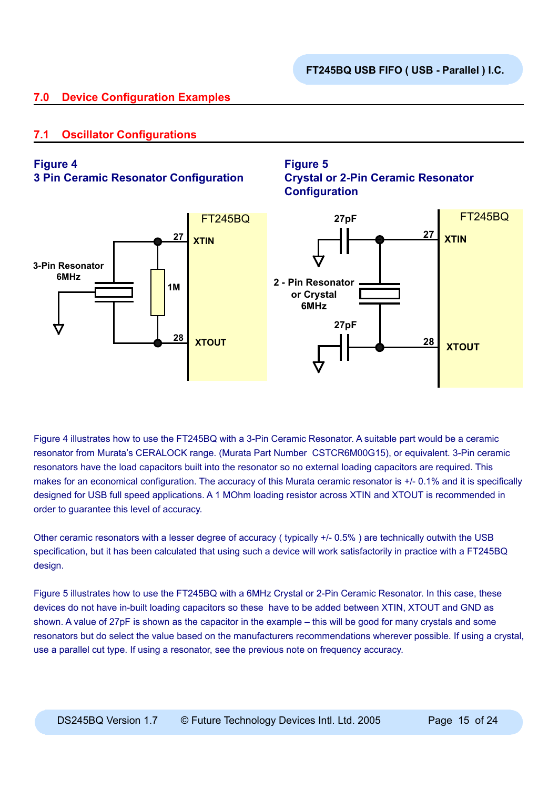# **7.0 Device Configuration Examples**

# **7.1 Oscillator Configurations**

## **Figure 4**

**3 Pin Ceramic Resonator Configuration**





Figure 4 illustrates how to use the FT245BQ with a 3-Pin Ceramic Resonator. A suitable part would be a ceramic resonator from Murata's CERALOCK range. (Murata Part Number CSTCR6M00G15), or equivalent. 3-Pin ceramic resonators have the load capacitors built into the resonator so no external loading capacitors are required. This makes for an economical configuration. The accuracy of this Murata ceramic resonator is +/- 0.1% and it is specifically designed for USB full speed applications. A 1 MOhm loading resistor across XTIN and XTOUT is recommended in order to guarantee this level of accuracy.

Other ceramic resonators with a lesser degree of accuracy ( typically +/- 0.5% ) are technically outwith the USB specification, but it has been calculated that using such a device will work satisfactorily in practice with a FT245BQ design.

Figure 5 illustrates how to use the FT245BQ with a 6MHz Crystal or 2-Pin Ceramic Resonator. In this case, these devices do not have in-built loading capacitors so these have to be added between XTIN, XTOUT and GND as shown. A value of 27pF is shown as the capacitor in the example – this will be good for many crystals and some resonators but do select the value based on the manufacturers recommendations wherever possible. If using a crystal, use a parallel cut type. If using a resonator, see the previous note on frequency accuracy.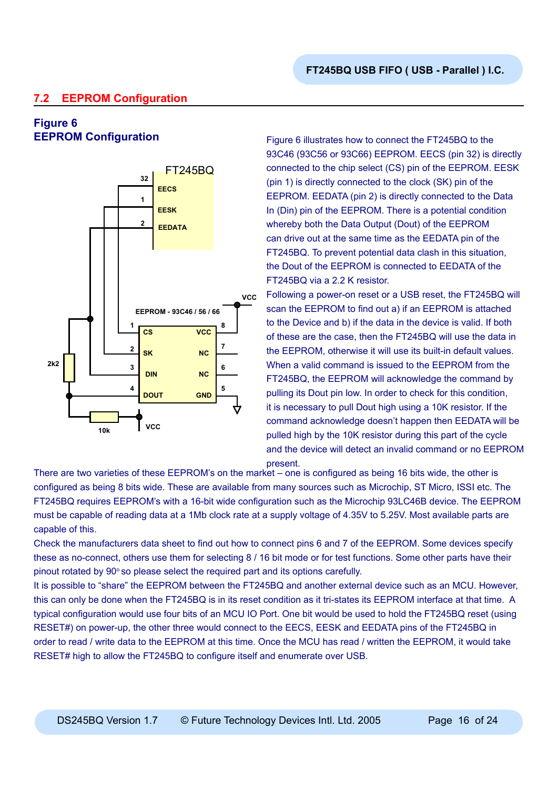# **7.2 EEPROM Configuration**

# **Figure 6**



**EEPROM Configuration** Figure 6 illustrates how to connect the FT245BQ to the 93C46 (93C56 or 93C66) EEPROM. EECS (pin 32) is directly connected to the chip select (CS) pin of the EEPROM. EESK (pin 1) is directly connected to the clock (SK) pin of the EEPROM. EEDATA (pin 2) is directly connected to the Data In (Din) pin of the EEPROM. There is a potential condition whereby both the Data Output (Dout) of the EEPROM can drive out at the same time as the EEDATA pin of the FT245BQ. To prevent potential data clash in this situation, the Dout of the EEPROM is connected to EEDATA of the FT245BQ via a 2.2 K resistor.

> Following a power-on reset or a USB reset, the FT245BQ will scan the EEPROM to find out a) if an EEPROM is attached to the Device and b) if the data in the device is valid. If both of these are the case, then the FT245BQ will use the data in the EEPROM, otherwise it will use its built-in default values. When a valid command is issued to the EEPROM from the FT245BQ, the EEPROM will acknowledge the command by pulling its Dout pin low. In order to check for this condition, it is necessary to pull Dout high using a 10K resistor. If the command acknowledge doesn't happen then EEDATA will be pulled high by the 10K resistor during this part of the cycle and the device will detect an invalid command or no EEPROM present.

There are two varieties of these EEPROM's on the market – one is configured as being 16 bits wide, the other is configured as being 8 bits wide. These are available from many sources such as Microchip, ST Micro, ISSI etc. The FT245BQ requires EEPROM's with a 16-bit wide configuration such as the Microchip 93LC46B device. The EEPROM must be capable of reading data at a 1Mb clock rate at a supply voltage of 4.35V to 5.25V. Most available parts are capable of this.

Check the manufacturers data sheet to find out how to connect pins 6 and 7 of the EEPROM. Some devices specify these as no-connect, others use them for selecting 8 / 16 bit mode or for test functions. Some other parts have their pinout rotated by  $90^\circ$  so please select the required part and its options carefully.

It is possible to "share" the EEPROM between the FT245BQ and another external device such as an MCU. However, this can only be done when the FT245BQ is in its reset condition as it tri-states its EEPROM interface at that time. A typical configuration would use four bits of an MCU IO Port. One bit would be used to hold the FT245BQ reset (using RESET#) on power-up, the other three would connect to the EECS, EESK and EEDATA pins of the FT245BQ in order to read / write data to the EEPROM at this time. Once the MCU has read / written the EEPROM, it would take RESET# high to allow the FT245BQ to configure itself and enumerate over USB.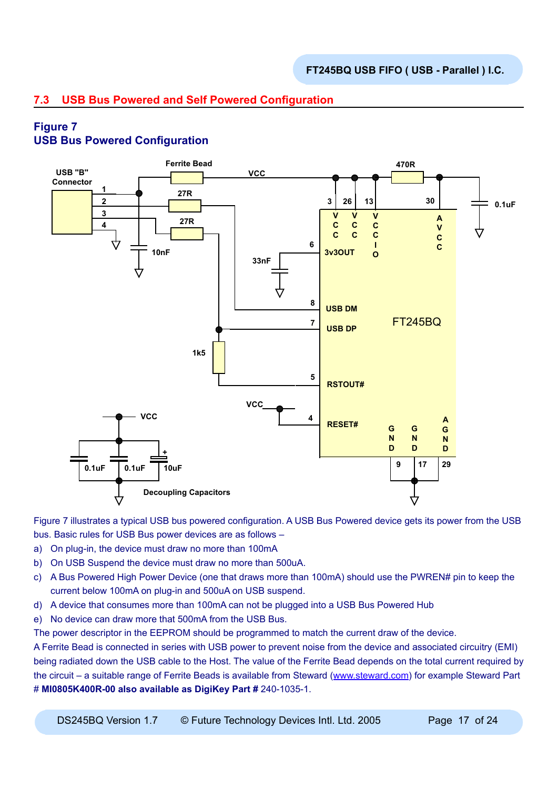# **7.3 USB Bus Powered and Self Powered Configuration**

# **Figure 7**

# **USB Bus Powered Configuration**



Figure 7 illustrates a typical USB bus powered configuration. A USB Bus Powered device gets its power from the USB bus. Basic rules for USB Bus power devices are as follows –

- a) On plug-in, the device must draw no more than 100mA
- b) On USB Suspend the device must draw no more than 500uA.
- c) A Bus Powered High Power Device (one that draws more than 100mA) should use the PWREN# pin to keep the current below 100mA on plug-in and 500uA on USB suspend.
- d) A device that consumes more than 100mA can not be plugged into a USB Bus Powered Hub
- e) No device can draw more that 500mA from the USB Bus.

The power descriptor in the EEPROM should be programmed to match the current draw of the device.

A Ferrite Bead is connected in series with USB power to prevent noise from the device and associated circuitry (EMI) being radiated down the USB cable to the Host. The value of the Ferrite Bead depends on the total current required by the circuit – a suitable range of Ferrite Beads is available from Steward ([www.steward.com](http://www.steward.com)) for example Steward Part # **MI0805K400R-00 also available as DigiKey Part #** 240-1035-1.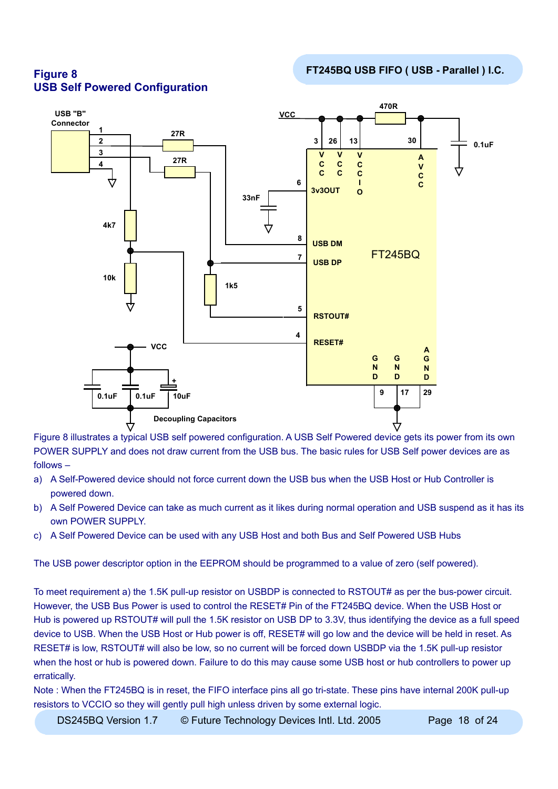



Figure 8 illustrates a typical USB self powered configuration. A USB Self Powered device gets its power from its own POWER SUPPLY and does not draw current from the USB bus. The basic rules for USB Self power devices are as follows –

- a) A Self-Powered device should not force current down the USB bus when the USB Host or Hub Controller is powered down.
- b) A Self Powered Device can take as much current as it likes during normal operation and USB suspend as it has its own POWER SUPPLY.
- c) A Self Powered Device can be used with any USB Host and both Bus and Self Powered USB Hubs

The USB power descriptor option in the EEPROM should be programmed to a value of zero (self powered).

To meet requirement a) the 1.5K pull-up resistor on USBDP is connected to RSTOUT# as per the bus-power circuit. However, the USB Bus Power is used to control the RESET# Pin of the FT245BQ device. When the USB Host or Hub is powered up RSTOUT# will pull the 1.5K resistor on USB DP to 3.3V, thus identifying the device as a full speed device to USB. When the USB Host or Hub power is off, RESET# will go low and the device will be held in reset. As RESET# is low, RSTOUT# will also be low, so no current will be forced down USBDP via the 1.5K pull-up resistor when the host or hub is powered down. Failure to do this may cause some USB host or hub controllers to power up erratically.

Note : When the FT245BQ is in reset, the FIFO interface pins all go tri-state. These pins have internal 200K pull-up resistors to VCCIO so they will gently pull high unless driven by some external logic.

DS245BQ Version 1.7  $\circ$  Future Technology Devices Intl. Ltd. 2005 Page 18 of 24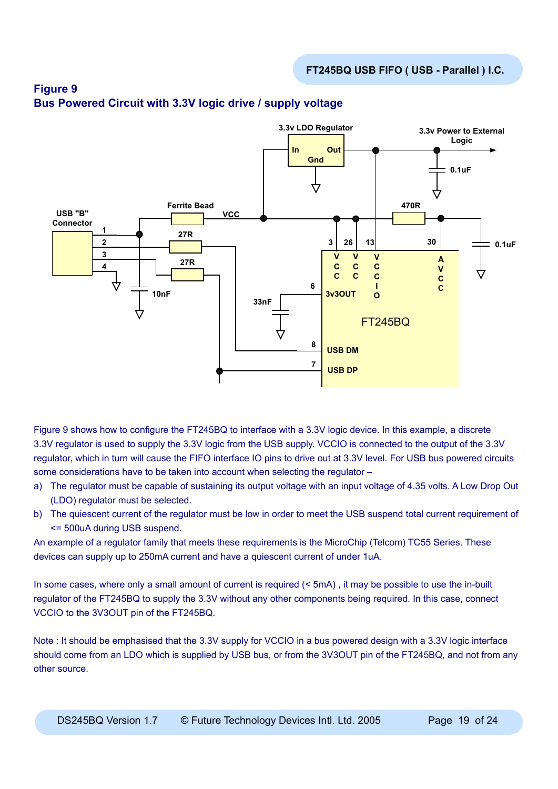

# **Figure 9 Bus Powered Circuit with 3.3V logic drive / supply voltage**

Figure 9 shows how to configure the FT245BQ to interface with a 3.3V logic device. In this example, a discrete 3.3V regulator is used to supply the 3.3V logic from the USB supply. VCCIO is connected to the output of the 3.3V regulator, which in turn will cause the FIFO interface IO pins to drive out at 3.3V level. For USB bus powered circuits some considerations have to be taken into account when selecting the regulator –

- a) The regulator must be capable of sustaining its output voltage with an input voltage of 4.35 volts. A Low Drop Out (LDO) regulator must be selected.
- b) The quiescent current of the regulator must be low in order to meet the USB suspend total current requirement of <= 500uA during USB suspend.

An example of a regulator family that meets these requirements is the MicroChip (Telcom) TC55 Series. These devices can supply up to 250mA current and have a quiescent current of under 1uA.

In some cases, where only a small amount of current is required (< 5mA), it may be possible to use the in-built regulator of the FT245BQ to supply the 3.3V without any other components being required. In this case, connect VCCIO to the 3V3OUT pin of the FT245BQ.

Note : It should be emphasised that the 3.3V supply for VCCIO in a bus powered design with a 3.3V logic interface should come from an LDO which is supplied by USB bus, or from the 3V3OUT pin of the FT245BQ, and not from any other source.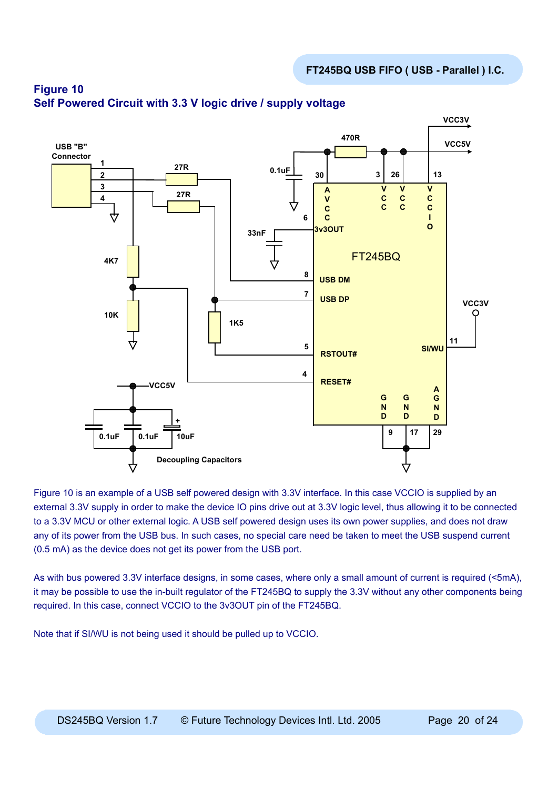

# **Figure 10 Self Powered Circuit with 3.3 V logic drive / supply voltage**

Figure 10 is an example of a USB self powered design with 3.3V interface. In this case VCCIO is supplied by an external 3.3V supply in order to make the device IO pins drive out at 3.3V logic level, thus allowing it to be connected to a 3.3V MCU or other external logic. A USB self powered design uses its own power supplies, and does not draw any of its power from the USB bus. In such cases, no special care need be taken to meet the USB suspend current (0.5 mA) as the device does not get its power from the USB port.

As with bus powered 3.3V interface designs, in some cases, where only a small amount of current is required (<5mA), it may be possible to use the in-built regulator of the FT245BQ to supply the 3.3V without any other components being required. In this case, connect VCCIO to the 3v3OUT pin of the FT245BQ.

Note that if SI/WU is not being used it should be pulled up to VCCIO.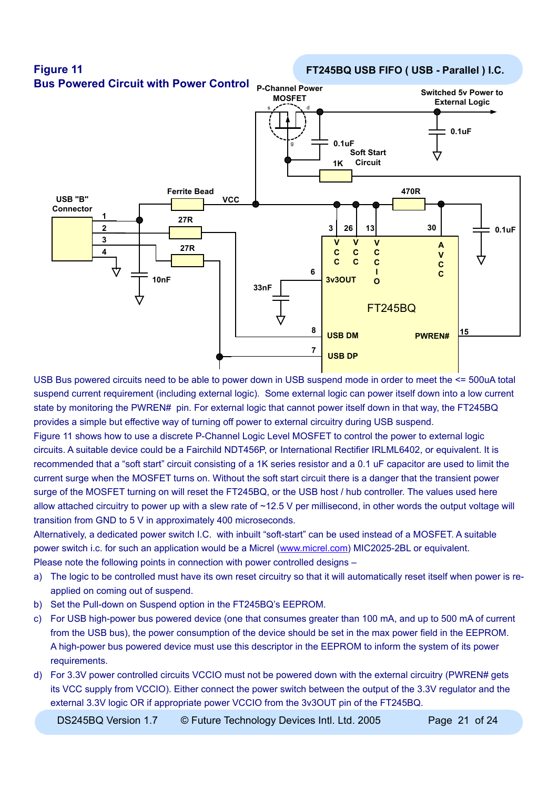

USB Bus powered circuits need to be able to power down in USB suspend mode in order to meet the <= 500uA total suspend current requirement (including external logic). Some external logic can power itself down into a low current state by monitoring the PWREN# pin. For external logic that cannot power itself down in that way, the FT245BQ provides a simple but effective way of turning off power to external circuitry during USB suspend.

Figure 11 shows how to use a discrete P-Channel Logic Level MOSFET to control the power to external logic circuits. A suitable device could be a Fairchild NDT456P, or International Rectifier IRLML6402, or equivalent. It is recommended that a "soft start" circuit consisting of a 1K series resistor and a 0.1 uF capacitor are used to limit the current surge when the MOSFET turns on. Without the soft start circuit there is a danger that the transient power surge of the MOSFET turning on will reset the FT245BQ, or the USB host / hub controller. The values used here allow attached circuitry to power up with a slew rate of ~12.5 V per millisecond, in other words the output voltage will transition from GND to 5 V in approximately 400 microseconds.

Alternatively, a dedicated power switch I.C. with inbuilt "soft-start" can be used instead of a MOSFET. A suitable power switch i.c. for such an application would be a Micrel ([www.micrel.com](http://www.micrel.com)) MIC2025-2BL or equivalent. Please note the following points in connection with power controlled designs –

- a) The logic to be controlled must have its own reset circuitry so that it will automatically reset itself when power is reapplied on coming out of suspend.
- b) Set the Pull-down on Suspend option in the FT245BQ's EEPROM.
- c) For USB high-power bus powered device (one that consumes greater than 100 mA, and up to 500 mA of current from the USB bus), the power consumption of the device should be set in the max power field in the EEPROM. A high-power bus powered device must use this descriptor in the EEPROM to inform the system of its power requirements.
- d) For 3.3V power controlled circuits VCCIO must not be powered down with the external circuitry (PWREN# gets its VCC supply from VCCIO). Either connect the power switch between the output of the 3.3V regulator and the external 3.3V logic OR if appropriate power VCCIO from the 3v3OUT pin of the FT245BQ.

DS245BQ Version 1.7  $\circ$  Future Technology Devices Intl. Ltd. 2005 Page 21 of 24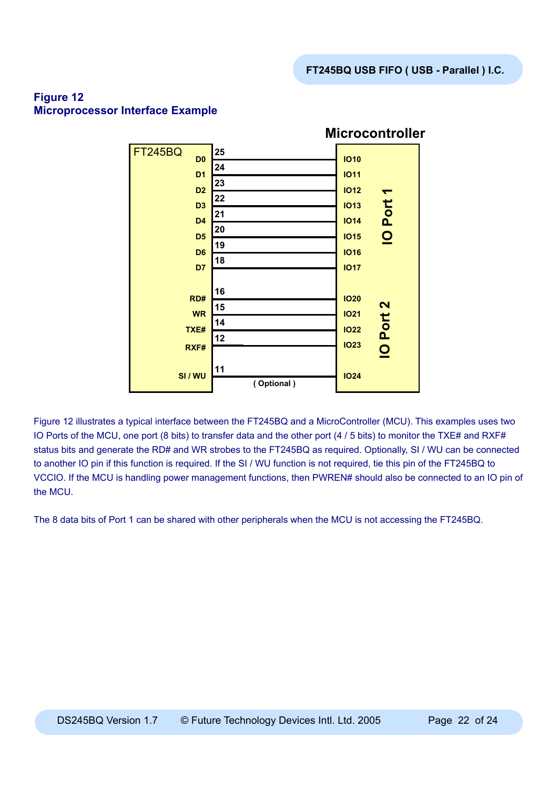

# **Figure 12 Microprocessor Interface Example**

Figure 12 illustrates a typical interface between the FT245BQ and a MicroController (MCU). This examples uses two IO Ports of the MCU, one port (8 bits) to transfer data and the other port (4 / 5 bits) to monitor the TXE# and RXF# status bits and generate the RD# and WR strobes to the FT245BQ as required. Optionally, SI / WU can be connected to another IO pin if this function is required. If the SI / WU function is not required, tie this pin of the FT245BQ to VCCIO. If the MCU is handling power management functions, then PWREN# should also be connected to an IO pin of the MCU.

The 8 data bits of Port 1 can be shared with other peripherals when the MCU is not accessing the FT245BQ.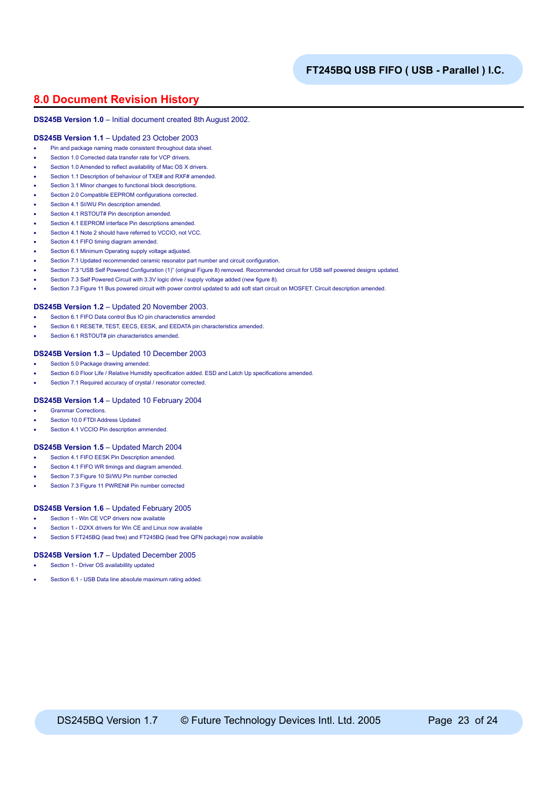## **8.0 Document Revision History**

#### **DS245B Version 1.0** – Initial document created 8th August 2002.

#### **DS245B Version 1.1** – Updated 23 October 2003

- Pin and package naming made consistent throughout data sheet.
- Section 1.0 Corrected data transfer rate for VCP drivers.
- Section 1.0 Amended to reflect availability of Mac OS X drivers.
- Section 1.1 Description of behaviour of TXE# and RXF# amended.
- Section 3.1 Minor changes to functional block descriptions.
- Section 2.0 Compatible EEPROM configurations corrected.
- Section 4.1 SI/WU Pin description amended.
- Section 4.1 RSTOUT# Pin description amended.
- Section 4.1 EEPROM interface Pin descriptions amended.
- Section 4.1 Note 2 should have referred to VCCIO, not VCC.
- Section 4.1 FIFO timing diagram amended.
- Section 6.1 Minimum Operating supply voltage adjusted.
- Section 7.1 Updated recommended ceramic resonator part number and circuit configuration.
- Section 7.3 "USB Self Powered Configuration (1)" (original Figure 8) removed. Recommended circuit for USB self powered designs updated.
- Section 7.3 Self Powered Circuit with 3.3V logic drive / supply voltage added (new figure 8).
- Section 7.3 Figure 11 Bus powered circuit with power control updated to add soft start circuit on MOSFET. Circuit description amended.

#### **DS245B Version 1.2** – Updated 20 November 2003.

- Section 6.1 FIFO Data control Bus IO pin characteristics amended
- Section 6.1 RESET#, TEST, EECS, EESK, and EEDATA pin characteristics amended.
- Section 6.1 RSTOUT# pin characteristics amended.

#### **DS245B Version 1.3** – Updated 10 December 2003

- Section 5.0 Package drawing amended.
- Section 6.0 Floor Life / Relative Humidity specification added. ESD and Latch Up specifications amended.
- Section 7.1 Required accuracy of crystal / resonator corrected.

#### **DS245B Version 1.4** – Updated 10 February 2004

- Grammar Corrections.
- Section 10.0 FTDI Address Updated
- Section 4.1 VCCIO Pin description ammended.

#### **DS245B Version 1.5** – Updated March 2004

- Section 4.1 FIFO EESK Pin Description amended
- Section 4.1 FIFO WR timings and diagram amended.
- Section 7.3 Figure 10 SI/WU Pin number corrected
- Section 7.3 Figure 11 PWREN# Pin number corrected

#### **DS245B Version 1.6** – Updated February 2005

- Section 1 Win CE VCP drivers now available
- Section 1 D2XX drivers for Win CE and Linux now available
- Section 5 FT245BQ (lead free) and FT245BQ (lead free QFN package) now available

#### **DS245B Version 1.7** – Updated December 2005

- Section 1 Driver OS availabillity updated
- Section 6.1 USB Data line absolute maximum rating added.